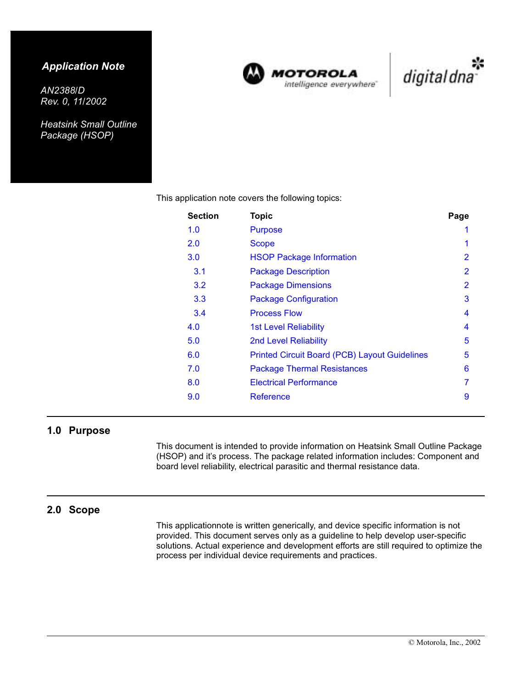# *Application Note*

*AN2388/D Rev. 0, 11/2002*

*Heatsink Small Outline Package (HSOP)*





This application note covers the following topics:

| <b>Section</b> | <b>Topic</b>                                         | Page |
|----------------|------------------------------------------------------|------|
| 1.0            | <b>Purpose</b>                                       |      |
| 2.0            | <b>Scope</b>                                         |      |
| 3.0            | <b>HSOP Package Information</b>                      | 2    |
| 3.1            | <b>Package Description</b>                           | 2    |
| 3.2            | <b>Package Dimensions</b>                            | 2    |
| 3.3            | <b>Package Configuration</b>                         | 3    |
| 3.4            | <b>Process Flow</b>                                  | 4    |
| 4.0            | <b>1st Level Reliability</b>                         | 4    |
| 5.0            | <b>2nd Level Reliability</b>                         | 5    |
| 6.0            | <b>Printed Circuit Board (PCB) Layout Guidelines</b> | 5    |
| 7.0            | <b>Package Thermal Resistances</b>                   | 6    |
| 8.0            | <b>Electrical Performance</b>                        |      |
| 9.0            | Reference                                            | 9    |

#### <span id="page-0-0"></span>**1.0 Purpose**

This document is intended to provide information on Heatsink Small Outline Package (HSOP) and it's process. The package related information includes: Component and board level reliability, electrical parasitic and thermal resistance data.

### <span id="page-0-1"></span>**2.0 Scope**

This applicationnote is written generically, and device specific information is not provided. This document serves only as a guideline to help develop user-specific solutions. Actual experience and development efforts are still required to optimize the process per individual device requirements and practices.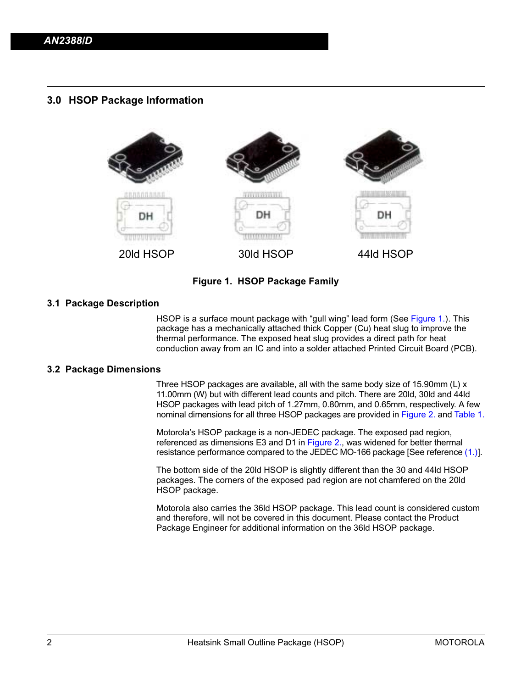# <span id="page-1-0"></span>**3.0 HSOP Package Information**



**Figure 1. HSOP Package Family**

#### <span id="page-1-3"></span><span id="page-1-1"></span>**3.1 Package Description**

HSOP is a surface mount package with "gull wing" lead form (See [Figure 1.\)](#page-1-3). This package has a mechanically attached thick Copper (Cu) heat slug to improve the thermal performance. The exposed heat slug provides a direct path for heat conduction away from an IC and into a solder attached Printed Circuit Board (PCB).

#### <span id="page-1-2"></span>**3.2 Package Dimensions**

Three HSOP packages are available, all with the same body size of 15.90mm (L) x 11.00mm (W) but with different lead counts and pitch. There are 20ld, 30ld and 44ld HSOP packages with lead pitch of 1.27mm, 0.80mm, and 0.65mm, respectively. A few nominal dimensions for all three HSOP packages are provided in [Figure 2.](#page-2-1) and [Table 1.](#page-2-2)

Motorola's HSOP package is a non-JEDEC package. The exposed pad region, referenced as dimensions E3 and D1 in [Figure 2.](#page-2-1), was widened for better thermal resistance performance compared to the JEDEC MO-166 package [See reference [\(1.\)](#page-8-1)].

The bottom side of the 20ld HSOP is slightly different than the 30 and 44ld HSOP packages. The corners of the exposed pad region are not chamfered on the 20ld HSOP package.

Motorola also carries the 36ld HSOP package. This lead count is considered custom and therefore, will not be covered in this document. Please contact the Product Package Engineer for additional information on the 36ld HSOP package.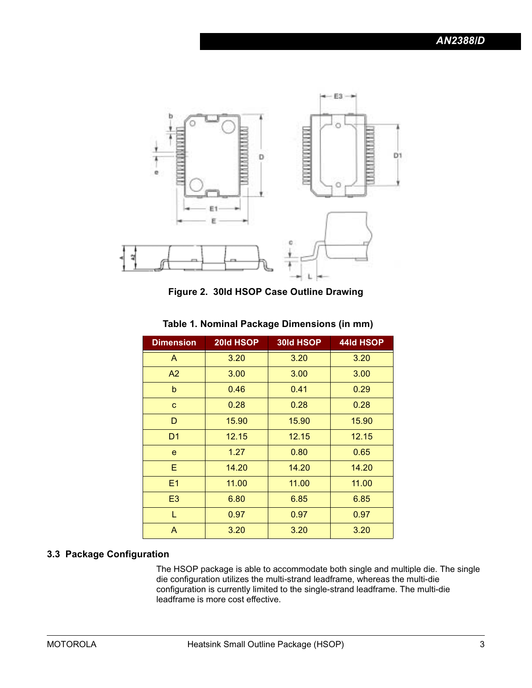

**Figure 2. 30ld HSOP Case Outline Drawing**

<span id="page-2-2"></span><span id="page-2-1"></span>

| <b>Dimension</b> | 20ld HSOP | 30ld HSOP | 44ld HSOP |  |
|------------------|-----------|-----------|-----------|--|
| A                | 3.20      | 3.20      | 3.20      |  |
| A2               | 3.00      | 3.00      | 3.00      |  |
| b                | 0.46      | 0.41      | 0.29      |  |
| C.               | 0.28      | 0.28      | 0.28      |  |
| D                | 15.90     | 15.90     | 15.90     |  |
| D <sub>1</sub>   | 12.15     | 12.15     | 12.15     |  |
| e                | 1.27      | 0.80      | 0.65      |  |
| Е                | 14.20     | 14.20     | 14.20     |  |
| E1               | 11.00     | 11.00     | 11.00     |  |
| E <sub>3</sub>   | 6.80      | 6.85      | 6.85      |  |
| L                | 0.97      | 0.97      | 0.97      |  |
| A                | 3.20      | 3.20      | 3.20      |  |

**Table 1. Nominal Package Dimensions (in mm)**

# <span id="page-2-0"></span>**3.3 Package Configuration**

The HSOP package is able to accommodate both single and multiple die. The single die configuration utilizes the multi-strand leadframe, whereas the multi-die configuration is currently limited to the single-strand leadframe. The multi-die leadframe is more cost effective.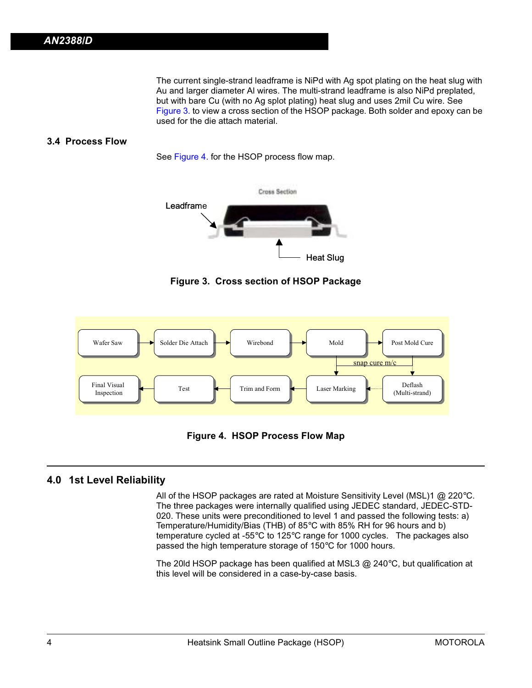The current single-strand leadframe is NiPd with Ag spot plating on the heat slug with Au and larger diameter Al wires. The multi-strand leadframe is also NiPd preplated, but with bare Cu (with no Ag splot plating) heat slug and uses 2mil Cu wire. See [Figure 3.](#page-3-2) to view a cross section of the HSOP package. Both solder and epoxy can be used for the die attach material.

#### <span id="page-3-0"></span>**3.4 Process Flow**





**Figure 3. Cross section of HSOP Package**

<span id="page-3-2"></span>

**Figure 4. HSOP Process Flow Map**

#### <span id="page-3-3"></span><span id="page-3-1"></span>**4.0 1st Level Reliability**

All of the HSOP packages are rated at Moisture Sensitivity Level (MSL)1 @ 220°C. The three packages were internally qualified using JEDEC standard, JEDEC-STD-020. These units were preconditioned to level 1 and passed the following tests: a) Temperature/Humidity/Bias (THB) of 85°C with 85% RH for 96 hours and b) temperature cycled at -55°C to 125°C range for 1000 cycles. The packages also passed the high temperature storage of 150°C for 1000 hours.

The 20ld HSOP package has been qualified at MSL3 @ 240°C, but qualification at this level will be considered in a case-by-case basis.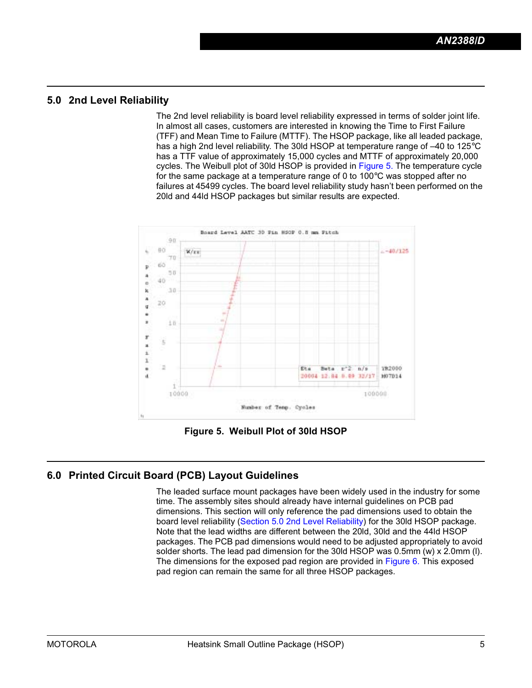### <span id="page-4-0"></span>**5.0 2nd Level Reliability**

The 2nd level reliability is board level reliability expressed in terms of solder joint life. In almost all cases, customers are interested in knowing the Time to First Failure (TFF) and Mean Time to Failure (MTTF). The HSOP package, like all leaded package, has a high 2nd level reliability. The 30ld HSOP at temperature range of –40 to 125°C has a TTF value of approximately 15,000 cycles and MTTF of approximately 20,000 cycles. The Weibull plot of 30ld HSOP is provided in [Figure 5.](#page-4-2) The temperature cycle for the same package at a temperature range of 0 to 100°C was stopped after no failures at 45499 cycles. The board level reliability study hasn't been performed on the 20ld and 44ld HSOP packages but similar results are expected.



**Figure 5. Weibull Plot of 30ld HSOP**

# <span id="page-4-2"></span><span id="page-4-1"></span>**6.0 Printed Circuit Board (PCB) Layout Guidelines**

The leaded surface mount packages have been widely used in the industry for some time. The assembly sites should already have internal guidelines on PCB pad dimensions. This section will only reference the pad dimensions used to obtain the board level reliability (Section [5.0 2nd Level Reliability](#page-4-0)) for the 30ld HSOP package. Note that the lead widths are different between the 20ld, 30ld and the 44ld HSOP packages. The PCB pad dimensions would need to be adjusted appropriately to avoid solder shorts. The lead pad dimension for the 30ld HSOP was 0.5mm (w) x 2.0mm (l). The dimensions for the exposed pad region are provided in [Figure 6.](#page-5-1) This exposed pad region can remain the same for all three HSOP packages.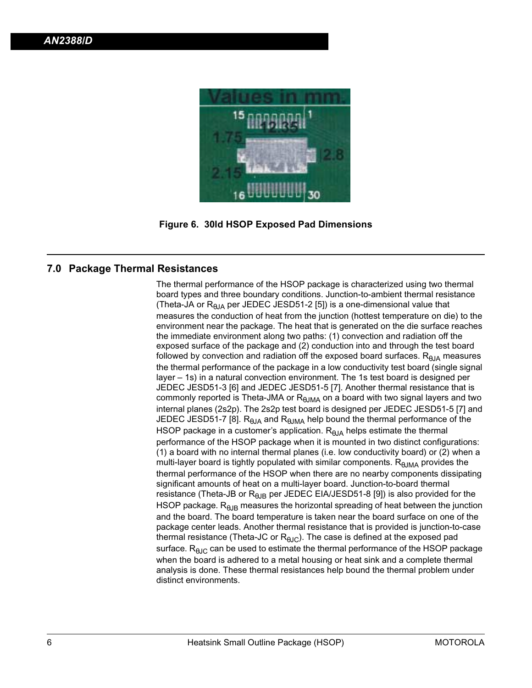

**Figure 6. 30ld HSOP Exposed Pad Dimensions**

### <span id="page-5-1"></span><span id="page-5-0"></span>**7.0 Package Thermal Resistances**

The thermal performance of the HSOP package is characterized using two thermal board types and three boundary conditions. Junction-to-ambient thermal resistance (Theta-JA or  $R_{\theta,IA}$  per JEDEC JESD51-2 [5]) is a one-dimensional value that measures the conduction of heat from the junction (hottest temperature on die) to the environment near the package. The heat that is generated on the die surface reaches the immediate environment along two paths: (1) convection and radiation off the exposed surface of the package and (2) conduction into and through the test board followed by convection and radiation off the exposed board surfaces.  $R_{\theta JA}$  measures the thermal performance of the package in a low conductivity test board (single signal layer – 1s) in a natural convection environment. The 1s test board is designed per JEDEC JESD51-3 [6] and JEDEC JESD51-5 [7]. Another thermal resistance that is commonly reported is Theta-JMA or  $R_{\theta JMA}$  on a board with two signal layers and two internal planes (2s2p). The 2s2p test board is designed per JEDEC JESD51-5 [7] and JEDEC JESD51-7 [8].  $R_{\theta JA}$  and  $R_{\theta JMA}$  help bound the thermal performance of the HSOP package in a customer's application.  $R_{\theta JA}$  helps estimate the thermal performance of the HSOP package when it is mounted in two distinct configurations: (1) a board with no internal thermal planes (i.e. low conductivity board) or (2) when a multi-layer board is tightly populated with similar components.  $R_{\theta JMA}$  provides the thermal performance of the HSOP when there are no nearby components dissipating significant amounts of heat on a multi-layer board. Junction-to-board thermal resistance (Theta-JB or  $R_{\theta$ JB per JEDEC EIA/JESD51-8 [9]) is also provided for the HSOP package.  $R_{\theta$ JB measures the horizontal spreading of heat between the junction and the board. The board temperature is taken near the board surface on one of the package center leads. Another thermal resistance that is provided is junction-to-case thermal resistance (Theta-JC or  $R_{\theta JC}$ ). The case is defined at the exposed pad surface.  $R_{\theta JC}$  can be used to estimate the thermal performance of the HSOP package when the board is adhered to a metal housing or heat sink and a complete thermal analysis is done. These thermal resistances help bound the thermal problem under distinct environments.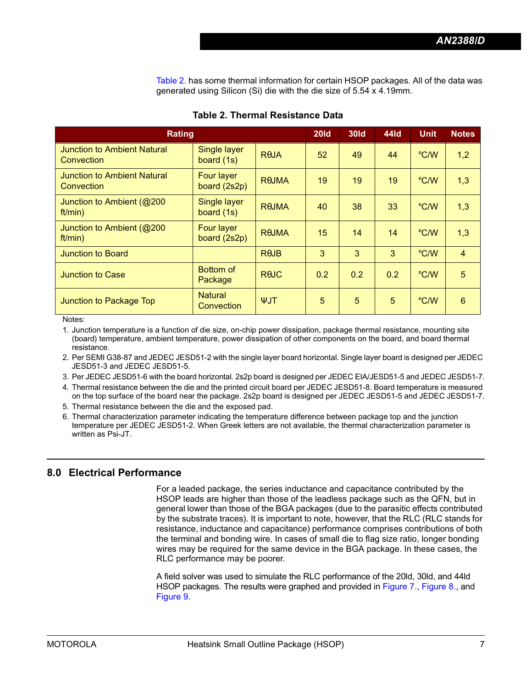*AN2388/D*

[Table 2.](#page-6-1) has some thermal information for certain HSOP packages. All of the data was generated using Silicon (Si) die with the die size of 5.54 x 4.19mm.

<span id="page-6-1"></span>

| <b>Rating</b>                                    |                              |                           |     | <b>30ld</b> | <b>44ld</b>    | <b>Unit</b>   | <b>Notes</b>   |
|--------------------------------------------------|------------------------------|---------------------------|-----|-------------|----------------|---------------|----------------|
| <b>Junction to Ambient Natural</b><br>Convection | Single layer<br>board (1s)   | $R\theta$ JA              | 52  | 49          | 44             | °C/W          | 1,2            |
| <b>Junction to Ambient Natural</b><br>Convection | Four layer<br>board (2s2p)   | <b>R</b> <sub>0</sub> JMA | 19  | 19          | 19             | °C/W          | 1,3            |
| Junction to Ambient (@200<br>ft/min)             | Single layer<br>board (1s)   | <b>ROJMA</b>              | 40  | 38          | 33             | $\degree$ C/W | 1,3            |
| Junction to Ambient (@200<br>ft/min)             | Four layer<br>board (2s2p)   | <b>ROJMA</b>              | 15  | 14          | 14             | $\degree$ C/W | 1,3            |
| <b>Junction to Board</b>                         |                              | $R\theta$ JB              | 3   | 3           | $\overline{3}$ | °C/W          | $\overline{4}$ |
| Junction to Case                                 | <b>Bottom of</b><br>Package  | $Rθ$ JC                   | 0.2 | 0.2         | 0.2            | °C/W          | 5              |
| Junction to Package Top                          | <b>Natural</b><br>Convection | <b>TLY</b>                | 5   | 5           | 5              | °C/W          | $6\phantom{1}$ |

#### **Table 2. Thermal Resistance Data**

Notes:

1. Junction temperature is a function of die size, on-chip power dissipation, package thermal resistance, mounting site (board) temperature, ambient temperature, power dissipation of other components on the board, and board thermal resistance.

2. Per SEMI G38-87 and JEDEC JESD51-2 with the single layer board horizontal. Single layer board is designed per JEDEC JESD51-3 and JEDEC JESD51-5.

3. Per JEDEC JESD51-6 with the board horizontal. 2s2p board is designed per JEDEC EIA/JESD51-5 and JEDEC JESD51-7.

4. Thermal resistance between the die and the printed circuit board per JEDEC JESD51-8. Board temperature is measured on the top surface of the board near the package. 2s2p board is designed per JEDEC JESD51-5 and JEDEC JESD51-7.

5. Thermal resistance between the die and the exposed pad.

6. Thermal characterization parameter indicating the temperature difference between package top and the junction temperature per JEDEC JESD51-2. When Greek letters are not available, the thermal characterization parameter is written as Psi-JT.

#### <span id="page-6-0"></span>**8.0 Electrical Performance**

For a leaded package, the series inductance and capacitance contributed by the HSOP leads are higher than those of the leadless package such as the QFN, but in general lower than those of the BGA packages (due to the parasitic effects contributed by the substrate traces). It is important to note, however, that the RLC (RLC stands for resistance, inductance and capacitance) performance comprises contributions of both the terminal and bonding wire. In cases of small die to flag size ratio, longer bonding wires may be required for the same device in the BGA package. In these cases, the RLC performance may be poorer.

A field solver was used to simulate the RLC performance of the 20ld, 30ld, and 44ld HSOP packages. The results were graphed and provided in [Figure 7.](#page-7-0), [Figure 8.,](#page-7-1) and [Figure 9.](#page-8-2)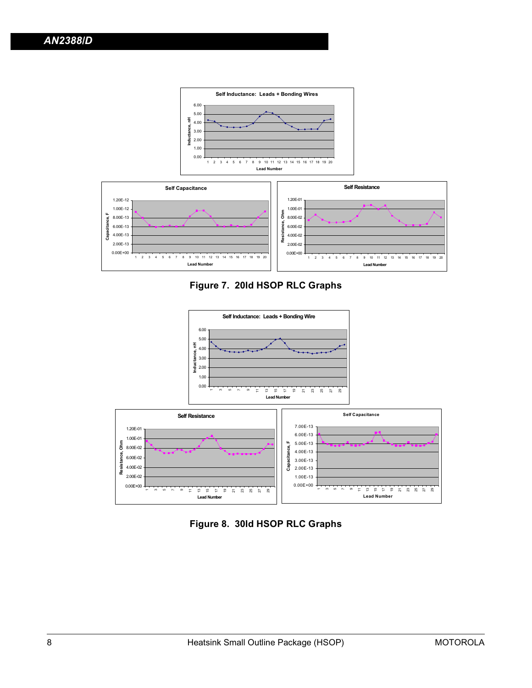





<span id="page-7-0"></span>

<span id="page-7-1"></span>**Figure 8. 30ld HSOP RLC Graphs**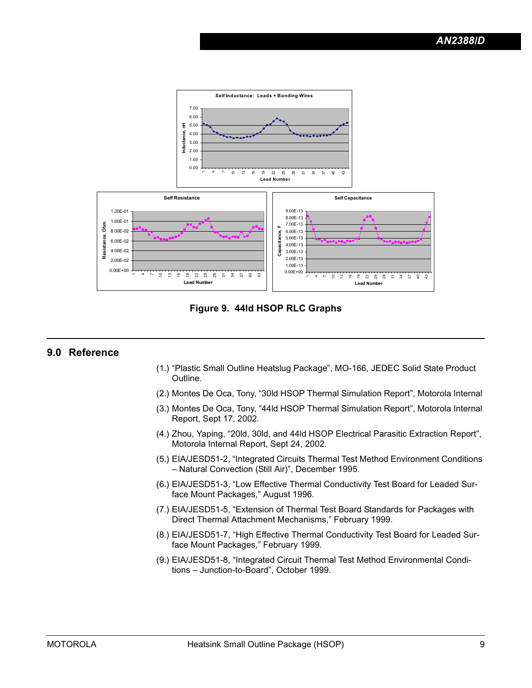

**Figure 9. 44ld HSOP RLC Graphs**

#### <span id="page-8-2"></span><span id="page-8-0"></span>**9.0 Reference**

- <span id="page-8-1"></span>(1.) "Plastic Small Outline Heatslug Package", MO-166, JEDEC Solid State Product Outline.
- (2.) Montes De Oca, Tony, "30ld HSOP Thermal Simulation Report", Motorola Internal
- (3.) Montes De Oca, Tony, "44ld HSOP Thermal Simulation Report", Motorola Internal Report, Sept 17, 2002.
- (4.) Zhou, Yaping, "20ld, 30ld, and 44ld HSOP Electrical Parasitic Extraction Report", Motorola Internal Report, Sept 24, 2002.
- (5.) EIA/JESD51-2, "Integrated Circuits Thermal Test Method Environment Conditions – Natural Convection (Still Air)", December 1995.
- (6.) EIA/JESD51-3, "Low Effective Thermal Conductivity Test Board for Leaded Surface Mount Packages," August 1996.
- (7.) EIA/JESD51-5, "Extension of Thermal Test Board Standards for Packages with Direct Thermal Attachment Mechanisms," February 1999.
- (8.) EIA/JESD51-7, "High Effective Thermal Conductivity Test Board for Leaded Surface Mount Packages," February 1999.
- (9.) EIA/JESD51-8, "Integrated Circuit Thermal Test Method Environmental Conditions – Junction-to-Board", October 1999.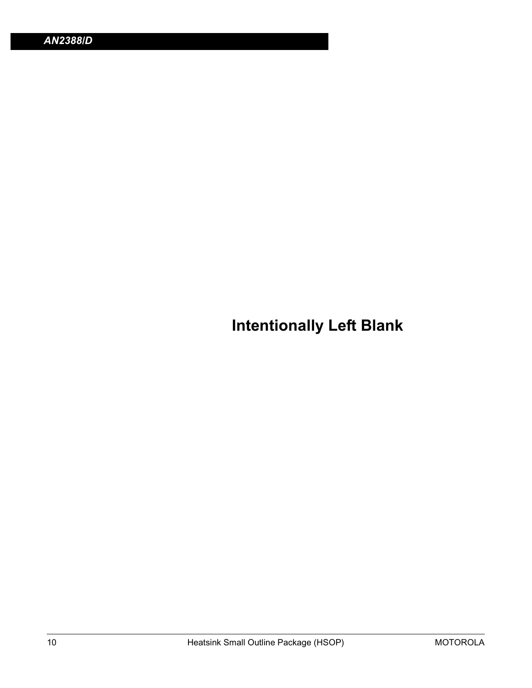**Intentionally Left Blank**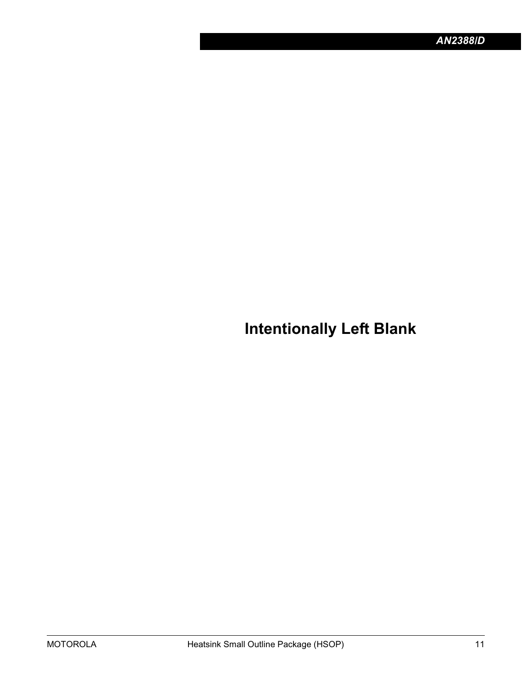# **Intentionally Left Blank**